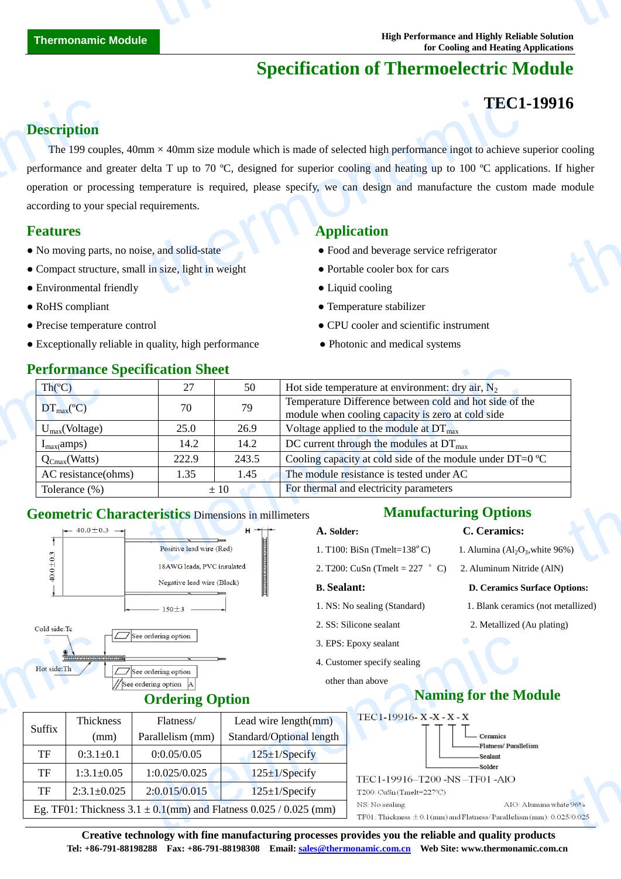# **Specification of Thermoelectric Module**

# **TEC1-19916**

# **Description**

The 199 couples,  $40 \text{mm} \times 40 \text{mm}$  size module which is made of selected high performance ingot to achieve superior cooling performance and greater delta T up to 70  $\mathbb{C}$ , designed for superior cooling and heating up to 100  $\mathbb{C}$  applications. If higher operation or processing temperature is required, please specify, we can design and manufacture the custom made module according to your special requirements. **Description**<br>The 199 coup<br>performance and g<br>operation or proce<br>according to your :<br>**Features**<br>• No moving parts<br>• Compact structu<br>• Environmental f TEC1<br>
um ×40mm size module which is made of selected high performance ingot to achieve seleta T up to 70 °C, designed for superior cooling and heating up to 100 °C applica<br>
emperature is required, please specify, we can d to cooling<br>higher<br>module

- No moving parts, no noise, and solid-state **•** Food and beverage service refrigerator
- Compact structure, small in size, light in weight Portable cooler box for cars
- Environmental friendly <br>• Liquid cooling
- 
- 
- Exceptionally reliable in quality, high performance Photonic and medical systems

### **Performance Specification Sheet**

# **Features Application**

- 
- 
- 
- RoHS compliant Temperature stabilizer

- Precise temperature control CPU cooler and scientific instrument
	-

| <b>Performance Specification Sheet</b>                     |                              |                   |                                                                                                                 |  |  |
|------------------------------------------------------------|------------------------------|-------------------|-----------------------------------------------------------------------------------------------------------------|--|--|
| Th(C)                                                      | 27                           | 50                | Hot side temperature at environment: dry air, $N_2$                                                             |  |  |
| $DT_{\text{max}}(\mathbb{C})$                              | 70                           | 79                | Temperature Difference between cold and hot side of the<br>module when cooling capacity is zero at cold side    |  |  |
| $U_{max}(Voltage)$                                         | 25.0                         | 26.9              | Voltage applied to the module at $DT_{\text{max}}$                                                              |  |  |
| $I_{max}(amps)$                                            | 14.2                         | 14.2              | DC current through the modules at $DT_{\text{max}}$                                                             |  |  |
| $Q_{Cmax}(Watts)$                                          | 222.9                        | 243.5             | Cooling capacity at cold side of the module under DT=0 $\mathbb{C}$                                             |  |  |
| AC resistance(ohms)                                        | 1.35                         | 1.45              | The module resistance is tested under AC                                                                        |  |  |
| Tolerance (%)                                              | $\pm 10$                     |                   | For thermal and electricity parameters                                                                          |  |  |
| <b>Geometric Characteristics Dimensions in millimeters</b> |                              |                   | <b>Manufacturing Options</b>                                                                                    |  |  |
| $\leftarrow$ 40.0 ± 0.3 $\rightarrow$                      |                              | $H \rightarrow +$ | C. Ceramics:<br>A. Solder:                                                                                      |  |  |
|                                                            | Positive lead wire (Red)     |                   | 1. T100: BiSn (Tmelt= $138^{\circ}$ C)<br>1. Alumina $\left( \text{Al}_2\text{O}_3 \right)$ , white 96%)        |  |  |
|                                                            | $10433201 - 1.733201 - 1.41$ |                   | the contract of the contract of the contract of the contract of the contract of the contract of the contract of |  |  |

### **Geometric Characteristics** Dimensions in millimeters



Cold side:To



# **Ordering Option**

|           |                   |                                                   | 3. EPS: Epoxy sealant<br>4. Customer specify sealing<br>other than above<br><b>Naming for the M</b> |                                                                                                                                                                                                                                                 |
|-----------|-------------------|---------------------------------------------------|-----------------------------------------------------------------------------------------------------|-------------------------------------------------------------------------------------------------------------------------------------------------------------------------------------------------------------------------------------------------|
| Suffix    | Thickness<br>(mm) | Flatness/<br>Parallelism (mm)                     | Lead wire $length(mm)$<br>Standard/Optional length                                                  | TEC1-19916-X-X-X-X<br>Ceramics                                                                                                                                                                                                                  |
| <b>TF</b> | $0:3.1 \pm 0.1$   | 0:0.05/0.05                                       | $125 \pm 1$ /Specify                                                                                | -Flatness/Paralle<br>-Sealant                                                                                                                                                                                                                   |
| TF        | $1:3.1 \pm 0.05$  | 1:0.025/0.025                                     | $125 \pm 1$ /Specify                                                                                | -Solder<br>TEC1-19916-T200 -NS-TF01 -AIO                                                                                                                                                                                                        |
| TF        | $2:3.1 \pm 0.025$ | 2:0.015/0.015                                     | $125 \pm 1$ /Specify                                                                                | $T200$ : CuSn (Tmelt=227 °C)                                                                                                                                                                                                                    |
|           |                   |                                                   |                                                                                                     | AIO: A<br>NS: No sealing<br>TF01: Thickness $\pm$ 0.1(mm) and Flatness/Parallelism                                                                                                                                                              |
|           |                   | <b>Comparing District Company</b><br>Hot side: Th | $\Box$ See ordering option<br>See ordering option<br>//See ordering option                          | <b>Ordering Option</b><br>Eg. TF01: Thickness $3.1 \pm 0.1$ (mm) and Flatness $0.025 / 0.025$ (mm)<br>$\alpha$ and the state of the state $\alpha$ , $\alpha$ , $\alpha$ , $\alpha$ , and the state of the state of the state of $\alpha$ , and |

## **Manufacturing Options**

### **A. Solder: C. Ceramics:**

- 1. Alumina  $\left( Al_2O_3\right)$ , white 96%)
- 2. T200: CuSn (Tmelt = 227  $\degree$  C) 2. Aluminum Nitride (AlN)

#### **B. Sealant: D. Ceramics Surface Options:**

- 1. NS: No sealing (Standard) 1. Blank ceramics (not metallized)
- 2. SS: Silicone sealant 2. Metallized (Au plating)
	- **Naming for the Module**



 $t_0 = 96\%$ <br>5/0.025

**Creative technology with fine manufacturing processes provides you the reliable and quality products Tel: +86-791-88198288 Fax: +86-791-88198308 Email: sales@thermonamic.com.cn Web Site: www.thermonamic.com.cn**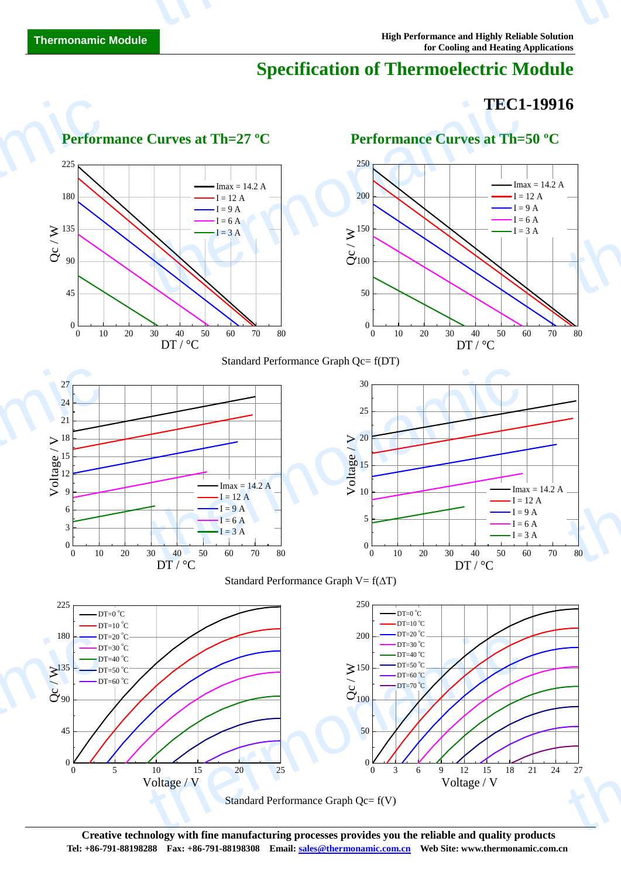# **Specification of Thermoelectric Module**

# **TEC1-19916**



**Creative technology with fine manufacturing processes provides you the reliable and quality products Tel: +86-791-88198288 Fax: +86-791-88198308 Email: sales@thermonamic.com.cn Web Site: www.thermonamic.com.cn**